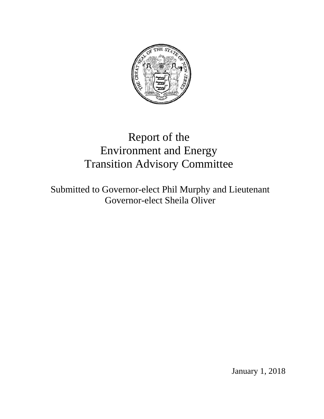

# Report of the Environment and Energy Transition Advisory Committee

Submitted to Governor-elect Phil Murphy and Lieutenant Governor-elect Sheila Oliver

January 1, 2018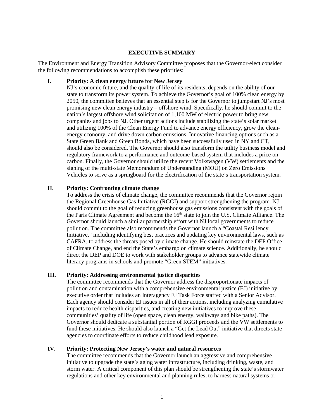#### **EXECUTIVE SUMMARY**

The Environment and Energy Transition Advisory Committee proposes that the Governor-elect consider the following recommendations to accomplish these priorities:

#### **I. Priority: A clean energy future for New Jersey**

NJ's economic future, and the quality of life of its residents, depends on the ability of our state to transform its power system. To achieve the Governor's goal of 100% clean energy by 2050, the committee believes that an essential step is for the Governor to jumpstart NJ's most promising new clean energy industry – offshore wind. Specifically, he should commit to the nation's largest offshore wind solicitation of 1,100 MW of electric power to bring new companies and jobs to NJ. Other urgent actions include stabilizing the state's solar market and utilizing 100% of the Clean Energy Fund to advance energy efficiency, grow the cleanenergy economy, and drive down carbon emissions. Innovative financing options such as a State Green Bank and Green Bonds, which have been successfully used in NY and CT, should also be considered. The Governor should also transform the utility business model and regulatory framework to a performance and outcome-based system that includes a price on carbon. Finally, the Governor should utilize the recent Volkswagen (VW) settlements and the signing of the multi-state Memorandum of Understanding (MOU) on Zero Emissions Vehicles to serve as a springboard for the electrification of the state's transportation system.

### **II. Priority: Confronting climate change**

To address the crisis of climate change, the committee recommends that the Governor rejoin the Regional Greenhouse Gas Initiative (RGGI) and support strengthening the program. NJ should commit to the goal of reducing greenhouse gas emissions consistent with the goals of the Paris Climate Agreement and become the  $16<sup>th</sup>$  state to join the U.S. Climate Alliance. The Governor should launch a similar partnership effort with NJ local governments to reduce pollution. The committee also recommends the Governor launch a "Coastal Resiliency Initiative," including identifying best practices and updating key environmental laws, such as CAFRA, to address the threats posed by climate change. He should reinstate the DEP Office of Climate Change, and end the State's embargo on climate science. Additionally, he should direct the DEP and DOE to work with stakeholder groups to advance statewide climate literacy programs in schools and promote "Green STEM" initiatives.

## **III. Priority: Addressing environmental justice disparities**

The committee recommends that the Governor address the disproportionate impacts of pollution and contamination with a comprehensive environmental justice (EJ) initiative by executive order that includes an Interagency EJ Task Force staffed with a Senior Advisor. Each agency should consider EJ issues in all of their actions, including analyzing cumulative impacts to reduce health disparities, and creating new initiatives to improve these communities' quality of life (open space, clean energy, walkways and bike paths). The Governor should dedicate a substantial portion of RGGI proceeds and the VW settlements to fund these initiatives. He should also launch a "Get the Lead Out" initiative that directs state agencies to coordinate efforts to reduce childhood lead exposure.

### **IV. Priority: Protecting New Jersey's water and natural resources**

The committee recommends that the Governor launch an aggressive and comprehensive initiative to upgrade the state's aging water infrastructure, including drinking, waste, and storm water. A critical component of this plan should be strengthening the state's stormwater regulations and other key environmental and planning rules, to harness natural systems or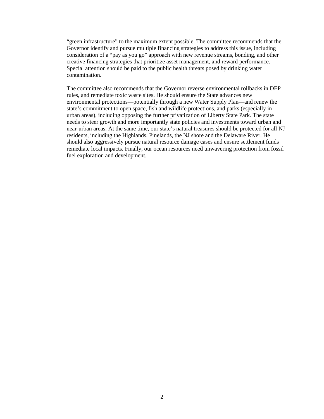"green infrastructure" to the maximum extent possible. The committee recommends that the Governor identify and pursue multiple financing strategies to address this issue, including consideration of a "pay as you go" approach with new revenue streams, bonding, and other creative financing strategies that prioritize asset management, and reward performance. Special attention should be paid to the public health threats posed by drinking water contamination.

The committee also recommends that the Governor reverse environmental rollbacks in DEP rules, and remediate toxic waste sites. He should ensure the State advances new environmental protections—potentially through a new Water Supply Plan—and renew the state's commitment to open space, fish and wildlife protections, and parks (especially in urban areas), including opposing the further privatization of Liberty State Park. The state needs to steer growth and more importantly state policies and investments toward urban and near-urban areas. At the same time, our state's natural treasures should be protected for all NJ residents, including the Highlands, Pinelands, the NJ shore and the Delaware River. He should also aggressively pursue natural resource damage cases and ensure settlement funds remediate local impacts. Finally, our ocean resources need unwavering protection from fossil fuel exploration and development.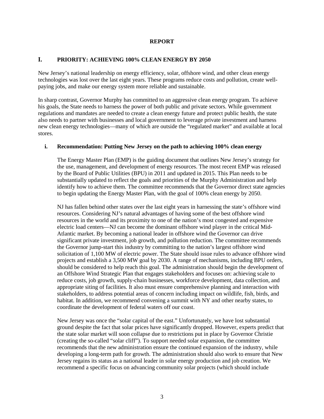## **REPORT**

# **I. PRIORITY: ACHIEVING 100% CLEAN ENERGY BY 2050**

New Jersey's national leadership on energy efficiency, solar, offshore wind, and other clean energy technologies was lost over the last eight years. These programs reduce costs and pollution, create wellpaying jobs, and make our energy system more reliable and sustainable.

In sharp contrast, Governor Murphy has committed to an aggressive clean energy program. To achieve his goals, the State needs to harness the power of both public and private sectors. While government regulations and mandates are needed to create a clean energy future and protect public health, the state also needs to partner with businesses and local government to leverage private investment and harness new clean energy technologies—many of which are outside the "regulated market" and available at local stores.

## **i. Recommendation: Putting New Jersey on the path to achieving 100% clean energy**

The Energy Master Plan (EMP) is the guiding document that outlines New Jersey's strategy for the use, management, and development of energy resources. The most recent EMP was released by the Board of Public Utilities (BPU) in 2011 and updated in 2015. This Plan needs to be substantially updated to reflect the goals and priorities of the Murphy Administration and help identify how to achieve them. The committee recommends that the Governor direct state agencies to begin updating the Energy Master Plan, with the goal of 100% clean energy by 2050.

NJ has fallen behind other states over the last eight years in harnessing the state's offshore wind resources. Considering NJ's natural advantages of having some of the best offshore wind resources in the world and its proximity to one of the nation's most congested and expensive electric load centers—NJ can become the dominant offshore wind player in the critical Mid-Atlantic market. By becoming a national leader in offshore wind the Governor can drive significant private investment, job growth, and pollution reduction. The committee recommends the Governor jump-start this industry by committing to the nation's largest offshore wind solicitation of 1,100 MW of electric power. The State should issue rules to advance offshore wind projects and establish a 3,500 MW goal by 2030. A range of mechanisms, including BPU orders, should be considered to help reach this goal. The administration should begin the development of an Offshore Wind Strategic Plan that engages stakeholders and focuses on: achieving scale to reduce costs, job growth, supply-chain businesses, workforce development, data collection, and appropriate siting of facilities. It also must ensure comprehensive planning and interaction with stakeholders, to address potential areas of concern including impact on wildlife, fish, birds, and habitat. In addition, we recommend convening a summit with NY and other nearby states, to coordinate the development of federal waters off our coast.

New Jersey was once the "solar capital of the east." Unfortunately, we have lost substantial ground despite the fact that solar prices have significantly dropped. However, experts predict that the state solar market will soon collapse due to restrictions put in place by Governor Christie (creating the so-called "solar cliff"). To support needed solar expansion, the committee recommends that the new administration ensure the continued expansion of the industry, while developing a long-term path for growth. The administration should also work to ensure that New Jersey regains its status as a national leader in solar energy production and job creation. We recommend a specific focus on advancing community solar projects (which should include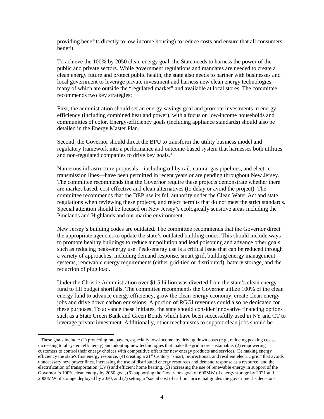providing benefits directly to low-income housing) to reduce costs and ensure that all consumers benefit.

To achieve the 100% by 2050 clean energy goal, the State needs to harness the power of the public and private sectors. While government regulations and mandates are needed to create a clean energy future and protect public health, the state also needs to partner with businesses and local government to leverage private investment and harness new clean energy technologies many of which are outside the "regulated market" and available at local stores. The committee recommends two key strategies:

First, the administration should set an energy-savings goal and promote investments in energy efficiency (including combined heat and power), with a focus on low-income households and communities of color. Energy-efficiency goals (including appliance standards) should also be detailed in the Energy Master Plan.

Second, the Governor should direct the BPU to transform the utility business model and regulatory framework into a performance and outcome-based system that harnesses both utilities and non-regulated companies to drive key goals.<sup>[1](#page-4-0)</sup>

Numerous infrastructure proposals—including oil by rail, natural gas pipelines, and electric transmission lines—have been permitted in recent years or are pending throughout New Jersey. The committee recommends that the Governor require these projects demonstrate whether there are market-based, cost-effective and clean alternatives (to delay or avoid the project). The committee recommends that the DEP use its full authority under the Clean Water Act and state regulations when reviewing these projects, and reject permits that do not meet the strict standards. Special attention should be focused on New Jersey's ecologically sensitive areas including the Pinelands and Highlands and our marine environment.

New Jersey's building codes are outdated. The committee recommends that the Governor direct the appropriate agencies to update the state's outdated building codes. This should include ways to promote healthy buildings to reduce air pollution and lead poisoning and advance other goals such as reducing peak-energy use. Peak-energy use is a critical issue that can be reduced through a variety of approaches, including demand response, smart grid, building energy management systems, renewable energy requirements (either grid-tied or distributed), battery storage, and the reduction of plug load.

Under the Christie Administration over \$1.5 billion was diverted from the state's clean energy fund to fill budget shortfalls. The committee recommends the Governor utilize 100% of the clean energy fund to advance energy efficiency, grow the clean-energy economy, create clean-energy jobs and drive down carbon emissions. A portion of RGGI revenues could also be dedicated for these purposes. To advance these initiates, the state should consider innovative financing options such as a State Green Bank and Green Bonds which have been successfully used in NY and CT to leverage private investment. Additionally, other mechanisms to support clean jobs should be

<span id="page-4-0"></span><sup>&</sup>lt;sup>1</sup> These goals include: (1) protecting ratepayers, especially low-income, by driving down costs (e.g., reducing peaking costs, increasing total system efficiency) and adopting new technologies that make the grid more sustainable, (2) empowering customers to control their energy choices with competitive offers for new energy products and services, (3) making energy efficiency the state's first energy resource, (4) creating a 21st Century "smart, bidirectional, and resilient electric grid" that avoids unnecessary new power lines, increasing the use of distributed energy resources and demand response as a resource, and the electrification of transportation (EVs) and efficient home heating, (5) increasing the use of renewable energy in support of the Governor 's 100% clean energy by 2050 goal, (6) supporting the Governor's goal of 600MW of energy storage by 2021 and 2000MW of storage deployed by 2030, and (7) setting a "social cost of carbon" price that guides the government's decisions.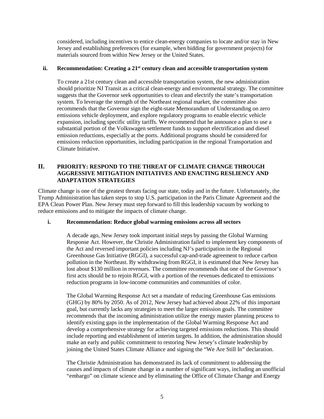considered, including incentives to entice clean-energy companies to locate and/or stay in New Jersey and establishing preferences (for example, when bidding for government projects) for materials sourced from within New Jersey or the United States.

## **ii. Recommendation: Creating a 21st century clean and accessible transportation system**

To create a 21st century clean and accessible transportation system, the new administration should prioritize NJ Transit as a critical clean-energy and environmental strategy. The committee suggests that the Governor seek opportunities to clean and electrify the state's transportation system. To leverage the strength of the Northeast regional market, the committee also recommends that the Governor sign the eight-state Memorandum of Understanding on zero emissions vehicle deployment, and explore regulatory programs to enable electric vehicle expansion, including specific utility tariffs. We recommend that he announce a plan to use a substantial portion of the Volkswagen settlement funds to support electrification and diesel emission reductions, especially at the ports. Additional programs should be considered for emissions reduction opportunities, including participation in the regional Transportation and Climate Initiative.

# **II. PRIORITY: RESPOND TO THE THREAT OF CLIMATE CHANGE THROUGH AGGRESSIVE MITIGATION INITIATIVES AND ENACTING RESLIENCY AND ADAPTATION STRATEGIES**

Climate change is one of the greatest threats facing our state, today and in the future. Unfortunately, the Trump Administration has taken steps to stop U.S. participation in the Paris Climate Agreement and the EPA Clean Power Plan. New Jersey must step forward to fill this leadership vacuum by working to reduce emissions and to mitigate the impacts of climate change.

## **i. Recommendation: Reduce global warming emissions across all sectors**

A decade ago, New Jersey took important initial steps by passing the Global Warming Response Act. However, the Christie Administration failed to implement key components of the Act and reversed important policies including NJ's participation in the Regional Greenhouse Gas Initiative (RGGI), a successful cap-and-trade agreement to reduce carbon pollution in the Northeast. By withdrawing from RGGI, it is estimated that New Jersey has lost about \$130 million in revenues. The committee recommends that one of the Governor's first acts should be to rejoin RGGI, with a portion of the revenues dedicated to emissions reduction programs in low-income communities and communities of color.

The Global Warming Response Act set a mandate of reducing Greenhouse Gas emissions (GHG) by 80% by 2050. As of 2012, New Jersey had achieved about 22% of this important goal, but currently lacks any strategies to meet the larger emission goals. The committee recommends that the incoming administration utilize the energy master planning process to identify existing gaps in the implementation of the Global Warming Response Act and develop a comprehensive strategy for achieving targeted emissions reductions. This should include reporting and establishment of interim targets. In addition, the administration should make an early and public commitment to restoring New Jersey's climate leadership by joining the United States Climate Alliance and signing the "We Are Still In" declaration.

The Christie Administration has demonstrated its lack of commitment to addressing the causes and impacts of climate change in a number of significant ways, including an unofficial "embargo" on climate science and by eliminating the Office of Climate Change and Energy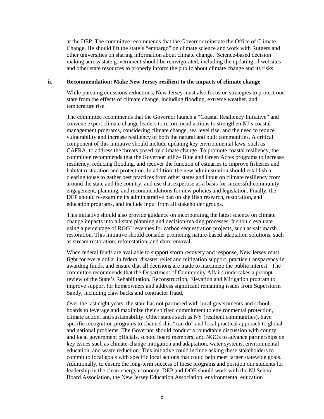at the DEP. The committee recommends that the Governor reinstate the Office of Climate Change. He should lift the state's "embargo" on climate science and work with Rutgers and other universities on sharing information about climate change. Science-based decision making across state government should be reinvigorated, including the updating of websites and other state resources to properly inform the public about climate change and its risks.

#### **ii. Recommendation: Make New Jersey resilient to the impacts of climate change**

While pursuing emissions reductions, New Jersey must also focus on strategies to protect our state from the effects of climate change, including flooding, extreme weather, and temperature rise.

The committee recommends that the Governor launch a "Coastal Resiliency Initiative" and convene expert climate change leaders to recommend actions to strengthen NJ's coastal management programs, considering climate change, sea level rise, and the need to reduce vulnerability and increase resiliency of both the natural and built communities. A critical component of this initiative should include updating key environmental laws, such as CAFRA, to address the threats posed by climate change. To promote coastal resiliency, the committee recommends that the Governor utilize Blue and Green Acres programs to increase resiliency, reducing flooding, and recover the function of estuaries to improve fisheries and habitat restoration and protection. In addition, the new administration should establish a clearinghouse to gather best practices from other states and input on climate resiliency from around the state and the country, and use that expertise as a basis for successful community engagement, planning, and recommendations for new policies and legislation. Finally, the DEP should re-examine its administrative ban on shellfish research, restoration, and education programs, and include input from all stakeholder groups.

This initiative should also provide guidance on incorporating the latest science on climate change impacts into all state planning and decision-making processes. It should evaluate using a percentage of RGGI revenues for carbon sequestration projects, such as salt marsh restoration. This initiative should consider promoting nature-based adaptation solutions, such as stream restoration, reforestation, and dam removal.

When federal funds are available to support storm recovery and response, New Jersey must fight for every dollar in federal disaster relief and mitigation support, practice transparency in awarding funds, and ensure that all decisions are made to maximize the public interest. The committee recommends that the Department of Community Affairs undertakes a prompt review of the State's Rehabilitation, Reconstruction, Elevation and Mitigation program to improve support for homeowners and address significant remaining issues from Superstorm Sandy, including claw backs and contractor fraud.

Over the last eight years, the state has not partnered with local governments and school boards to leverage and maximize their spirited commitment to environmental protection, climate action, and sustainability. Other states such as NY (resilient communities), have specific recognition programs to channel this "can do" and local practical approach to global and national problems. The Governor should conduct a roundtable discussion with county and local government officials, school board members, and NGOs to advance partnerships on key issues such as climate-change mitigation and adaptation, water systems, environmental education, and waste reduction. This initiative could include asking these stakeholders to commit to local goals with specific local actions that could help meet larger statewide goals. Additionally, to ensure the long-term success of these programs and position our students for leadership in the clean-energy economy, DEP and DOE should work with the NJ School Board Association, the New Jersey Education Association, environmental education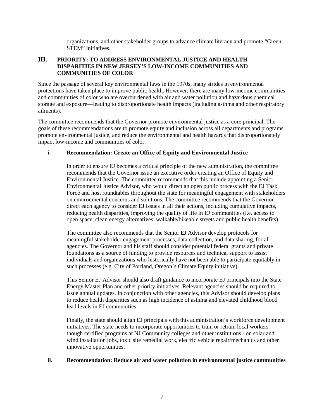organizations, and other stakeholder groups to advance climate literacy and promote "Green STEM" initiatives.

# **III. PRIORITY: TO ADDRESS ENVIRONMENTAL JUSTICE AND HEALTH DISPARITIES IN NEW JERSEY'S LOW-INCOME COMMUNITIES AND COMMUNITIES OF COLOR**

Since the passage of several key environmental laws in the 1970s, many strides in environmental protections have taken place to improve public health. However, there are many low-income communities and communities of color who are overburdened with air and water pollution and hazardous chemical storage and exposure—leading to disproportionate health impacts (including asthma and other respiratory ailments).

The committee recommends that the Governor promote environmental justice as a core principal. The goals of these recommendations are to promote equity and inclusion across all departments and programs, promote environmental justice, and reduce the environmental and health hazards that disproportionately impact low-income and communities of color.

# **i. Recommendation: Create an Office of Equity and Environmental Justice**

In order to ensure EJ becomes a critical principle of the new administration, the committee recommends that the Governor issue an executive order creating an Office of Equity and Environmental Justice. The committee recommends that this include appointing a Senior Environmental Justice Advisor, who would direct an open public process with the EJ Task Force and host roundtables throughout the state for meaningful engagement with stakeholders on environmental concerns and solutions. The committee recommends that the Governor direct each agency to consider EJ issues in all their actions, including cumulative impacts, reducing health disparities, improving the quality of life in EJ communities (i.e. access to open space, clean energy alternatives, walkable/bikeable streets and public health benefits).

The committee also recommends that the Senior EJ Advisor develop protocols for meaningful stakeholder engagement processes, data collection, and data sharing, for all agencies. The Governor and his staff should consider potential federal grants and private foundations as a source of funding to provide resources and technical support to assist individuals and organizations who historically have not been able to participate equitably in such processes (e.g. City of Portland, Oregon's Climate Equity initiative).

This Senior EJ Advisor should also draft guidance to incorporate EJ principals into the State Energy Master Plan and other priority initiatives. Relevant agencies should be required to issue annual updates. In conjunction with other agencies, this Advisor should develop plans to reduce health disparities such as high incidence of asthma and elevated childhood blood lead levels in EJ communities.

Finally, the state should align EJ principals with this administration's workforce development initiatives. The state needs to incorporate opportunities to train or retrain local workers though certified programs at NJ Community colleges and other institutions - on solar and wind installation jobs, toxic site remedial work, electric vehicle repair/mechanics and other innovative opportunities.

## **ii. Recommendation: Reduce air and water pollution in environmental justice communities**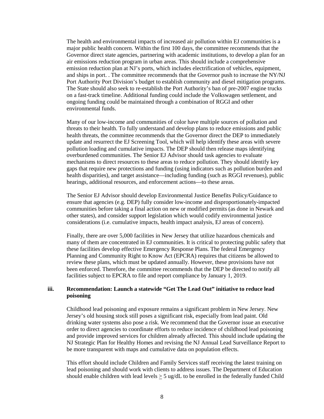The health and environmental impacts of increased air pollution within EJ communities is a major public health concern. Within the first 100 days, the committee recommends that the Governor direct state agencies, partnering with academic institutions, to develop a plan for an air emissions reduction program in urban areas. This should include a comprehensive emission reduction plan at NJ's ports, which includes electrification of vehicles, equipment, and ships in port. . The committee recommends that the Governor push to increase the NY/NJ Port Authority Port Division's budget to establish community and diesel mitigation programs. The State should also seek to re-establish the Port Authority's ban of pre-2007 engine trucks on a fast-track timeline. Additional funding could include the Volkswagen settlement, and ongoing funding could be maintained through a combination of RGGI and other environmental funds.

Many of our low-income and communities of color have multiple sources of pollution and threats to their health. To fully understand and develop plans to reduce emissions and public health threats, the committee recommends that the Governor direct the DEP to immediately update and resurrect the EJ Screening Tool, which will help identify these areas with severe pollution loading and cumulative impacts. The DEP should then release maps identifying overburdened communities. The Senior EJ Advisor should task agencies to evaluate mechanisms to direct resources to these areas to reduce pollution. They should identify key gaps that require new protections and funding (using indicators such as pollution burden and health disparities), and target assistance—including funding (such as RGGI revenues), public hearings, additional resources, and enforcement actions—to these areas.

The Senior EJ Advisor should develop Environmental Justice Benefits Policy/Guidance to ensure that agencies (e.g. DEP) fully consider low-income and disproportionately-impacted communities before taking a final action on new or modified permits (as done in Newark and other states), and consider support legislation which would codify environmental justice considerations (i.e. cumulative impacts, health impact analysis, EJ areas of concern).

Finally, there are over 5,000 facilities in New Jersey that utilize hazardous chemicals and many of them are concentrated in EJ communities. It is critical to protecting public safety that these facilities develop effective Emergency Response Plans. The federal Emergency Planning and Community Right to Know Act (EPCRA) requires that citizens be allowed to review these plans, which must be updated annually. However, these provisions have not been enforced. Therefore, the committee recommends that the DEP be directed to notify all facilities subject to EPCRA to file and report compliance by January 1, 2019.

# **iii. Recommendation: Launch a statewide "Get The Lead Out" initiative to reduce lead poisoning**

Childhood lead poisoning and exposure remains a significant problem in New Jersey. New Jersey's old housing stock still poses a significant risk, especially from lead paint. Old drinking water systems also pose a risk. We recommend that the Governor issue an executive order to direct agencies to coordinate efforts to reduce incidence of childhood lead poisoning and provide improved services for children already affected. This should include updating the NJ Strategic Plan for Healthy Homes and revising the NJ Annual Lead Surveillance Report to be more transparent with maps and cumulative data on population effects.

This effort should include Children and Family Services staff receiving the latest training on lead poisoning and should work with clients to address issues. The Department of Education should enable children with lead levels  $> 5$  ug/dL to be enrolled in the federally funded Child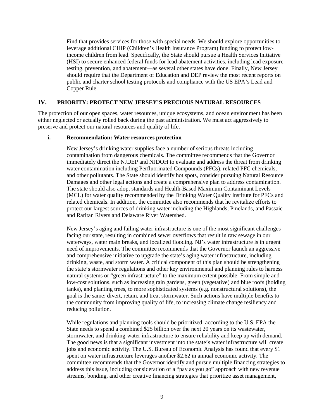Find that provides services for those with special needs. We should explore opportunities to leverage additional CHIP (Children's Health Insurance Program) funding to protect lowincome children from lead. Specifically, the State should pursue a Health Services Initiative (HSI) to secure enhanced federal funds for lead abatement activities, including lead exposure testing, prevention, and abatement—as several other states have done. Finally, New Jersey should require that the Department of Education and DEP review the most recent reports on public and charter school testing protocols and compliance with the US EPA's Lead and Copper Rule.

## **IV. PRIORITY: PROTECT NEW JERSEY'S PRECIOUS NATURAL RESOURCES**

The protection of our open spaces, water resources, unique ecosystems, and ocean environment has been either neglected or actually rolled back during the past administration. We must act aggressively to preserve and protect our natural resources and quality of life.

### **i. Recommendation: Water resources protection**

New Jersey's drinking water supplies face a number of serious threats including contamination from dangerous chemicals. The committee recommends that the Governor immediately direct the NJDEP and NJDOH to evaluate and address the threat from drinking water contamination including Perfluorinated Compounds (PFCs), related PFC chemicals, and other pollutants. The State should identify hot spots, consider pursuing Natural Resource Damages and other legal actions and create a comprehensive plan to address contamination. The state should also adopt standards and Health-Based Maximum Contaminant Levels (MCL) for water quality recommended by the Drinking Water Quality Institute for PFCs and related chemicals. In addition, the committee also recommends that he revitalize efforts to protect our largest sources of drinking water including the Highlands, Pinelands, and Passaic and Raritan Rivers and Delaware River Watershed.

New Jersey's aging and failing water infrastructure is one of the most significant challenges facing our state, resulting in combined sewer overflows that result in raw sewage in our waterways, water main breaks, and localized flooding. NJ's water infrastructure is in urgent need of improvements. The committee recommends that the Governor launch an aggressive and comprehensive initiative to upgrade the state's aging water infrastructure, including drinking, waste, and storm water. A critical component of this plan should be strengthening the state's stormwater regulations and other key environmental and planning rules to harness natural systems or "green infrastructure" to the maximum extent possible. From simple and low-cost solutions, such as increasing rain gardens, green (vegetative) and blue roofs (holding tanks), and planting trees, to more sophisticated systems (e.g. nonstructural solutions), the goal is the same: divert, retain, and treat stormwater. Such actions have multiple benefits to the community from improving quality of life, to increasing climate change resiliency and reducing pollution.

While regulations and planning tools should be prioritized, according to the U.S. EPA the State needs to spend a combined \$25 billion over the next 20 years on its wastewater, stormwater, and drinking-water infrastructure to ensure reliability and keep up with demand. The good news is that a significant investment into the state's water infrastructure will create jobs and economic activity. The U.S. Bureau of Economic Analysis has found that every \$1 spent on water infrastructure leverages another \$2.62 in annual economic activity. The committee recommends that the Governor identify and pursue multiple financing strategies to address this issue, including consideration of a "pay as you go" approach with new revenue streams, bonding, and other creative financing strategies that prioritize asset management,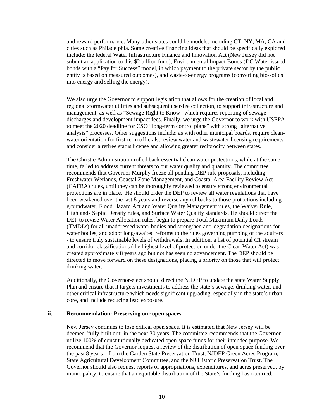and reward performance. Many other states could be models, including CT, NY, MA, CA and cities such as Philadelphia. Some creative financing ideas that should be specifically explored include: the federal Water Infrastructure Finance and Innovation Act (New Jersey did not submit an application to this \$2 billion fund), Environmental Impact Bonds (DC Water issued bonds with a "Pay for Success" model, in which payment to the private sector by the public entity is based on measured outcomes), and waste-to-energy programs (converting bio-solids into energy and selling the energy).

We also urge the Governor to support legislation that allows for the creation of local and regional stormwater utilities and subsequent user-fee collection, to support infrastructure and management, as well as "Sewage Right to Know" which requires reporting of sewage discharges and development impact fees. Finally, we urge the Governor to work with USEPA to meet the 2020 deadline for CSO "long-term control plans" with strong "alternative analysis" processes. Other suggestions include: as with other municipal boards, require cleanwater orientation for first-term officials, review water and wastewater licensing requirements and consider a retiree status license and allowing greater reciprocity between states.

The Christie Administration rolled back essential clean water protections, while at the same time, failed to address current threats to our water quality and quantity. The committee recommends that Governor Murphy freeze all pending DEP rule proposals, including Freshwater Wetlands, Coastal Zone Management, and Coastal Area Facility Review Act (CAFRA) rules, until they can be thoroughly reviewed to ensure strong environmental protections are in place. He should order the DEP to review all water regulations that have been weakened over the last 8 years and reverse any rollbacks to those protections including groundwater, Flood Hazard Act and Water Quality Management rules, the Waiver Rule, Highlands Septic Density rules, and Surface Water Quality standards. He should direct the DEP to revise Water Allocation rules, begin to prepare Total Maximum Daily Loads (TMDLs) for all unaddressed water bodies and strengthen anti-degradation designations for water bodies, and adopt long-awaited reforms to the rules governing pumping of the aquifers - to ensure truly sustainable levels of withdrawals. In addition, a list of potential C1 stream and corridor classifications (the highest level of protection under the Clean Water Act) was created approximately 8 years ago but not has seen no advancement. The DEP should be directed to move forward on these designations, placing a priority on those that will protect drinking water.

Additionally, the Governor-elect should direct the NJDEP to update the state Water Supply Plan and ensure that it targets investments to address the state's sewage, drinking water, and other critical infrastructure which needs significant upgrading, especially in the state's urban core, and include reducing lead exposure.

#### **ii. Recommendation: Preserving our open spaces**

New Jersey continues to lose critical open space. It is estimated that New Jersey will be deemed 'fully built out' in the next 30 years. The committee recommends that the Governor utilize 100% of constitutionally dedicated open-space funds for their intended purpose. We recommend that the Governor request a review of the distribution of open-space funding over the past 8 years—from the Garden State Preservation Trust, NJDEP Green Acres Program, State Agricultural Development Committee, and the NJ Historic Preservation Trust. The Governor should also request reports of appropriations, expenditures, and acres preserved, by municipality, to ensure that an equitable distribution of the State's funding has occurred.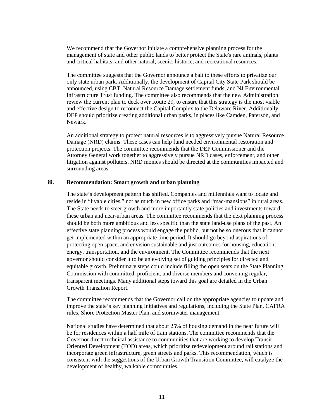We recommend that the Governor initiate a comprehensive planning process for the management of state and other public lands to better protect the State's rare animals, plants and critical habitats, and other natural, scenic, historic, and recreational resources.

The committee suggests that the Governor announce a halt to these efforts to privatize our only state urban park. Additionally, the development of Capital City State Park should be announced, using CBT, Natural Resource Damage settlement funds, and NJ Environmental Infrastructure Trust funding. The committee also recommends that the new Administration review the current plan to deck over Route 29, to ensure that this strategy is the most viable and effective design to reconnect the Capital Complex to the Delaware River. Additionally, DEP should prioritize creating additional urban parks, in places like Camden, Paterson, and Newark.

An additional strategy to protect natural resources is to aggressively pursue Natural Resource Damage (NRD) claims. These cases can help fund needed environmental restoration and protection projects. The committee recommends that the DEP Commissioner and the Attorney General work together to aggressively pursue NRD cases, enforcement, and other litigation against polluters. NRD monies should be directed at the communities impacted and surrounding areas.

# **iii. Recommendation: Smart growth and urban planning**

The state's development pattern has shifted. Companies and millennials want to locate and reside in "livable cities," not as much in new office parks and "mac-mansions" in rural areas. The State needs to steer growth and more importantly state policies and investments toward these urban and near-urban areas. The committee recommends that the next planning process should be both more ambitious and less specific than the state land-use plans of the past. An effective state planning process would engage the public, but not be so onerous that it cannot get implemented within an appropriate time period. It should go beyond aspirations of protecting open space, and envision sustainable and just outcomes for housing, education, energy, transportation, and the environment. The Committee recommends that the next governor should consider it to be an evolving set of guiding principles for directed and equitable growth. Preliminary steps could include filling the open seats on the State Planning Commission with committed, proficient, and diverse members and convening regular, transparent meetings. Many additional steps toward this goal are detailed in the Urban Growth Transition Report.

The committee recommends that the Governor call on the appropriate agencies to update and improve the state's key planning initiatives and regulations, including the State Plan, CAFRA rules, Shore Protection Master Plan, and stormwater management.

National studies have determined that about 25% of housing demand in the near future will be for residences within a half mile of train stations. The committee recommends that the Governor direct technical assistance to communities that are working to develop Transit Oriented Development (TOD) areas, which prioritize redevelopment around rail stations and incorporate green infrastructure, green streets and parks. This recommendation, which is consistent with the suggestions of the Urban Growth Transition Committee, will catalyze the development of healthy, walkable communities.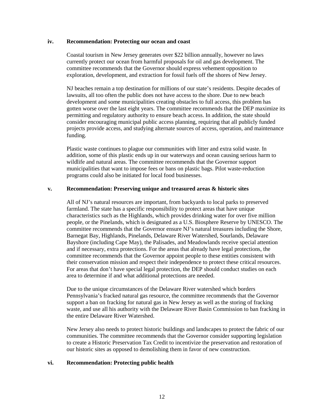#### **iv. Recommendation: Protecting our ocean and coast**

Coastal tourism in New Jersey generates over \$22 billion annually, however no laws currently protect our ocean from harmful proposals for oil and gas development. The committee recommends that the Governor should express vehement opposition to exploration, development, and extraction for fossil fuels off the shores of New Jersey.

NJ beaches remain a top destination for millions of our state's residents. Despite decades of lawsuits, all too often the public does not have access to the shore. Due to new beach development and some municipalities creating obstacles to full access, this problem has gotten worse over the last eight years. The committee recommends that the DEP maximize its permitting and regulatory authority to ensure beach access. In addition, the state should consider encouraging municipal public access planning, requiring that all publicly funded projects provide access, and studying alternate sources of access, operation, and maintenance funding.

Plastic waste continues to plague our communities with litter and extra solid waste. In addition, some of this plastic ends up in our waterways and ocean causing serious harm to wildlife and natural areas. The committee recommends that the Governor support municipalities that want to impose fees or bans on plastic bags. Pilot waste-reduction programs could also be initiated for local food businesses.

### **v. Recommendation: Preserving unique and treasured areas & historic sites**

All of NJ's natural resources are important, from backyards to local parks to preserved farmland. The state has a specific responsibility to protect areas that have unique characteristics such as the Highlands, which provides drinking water for over five million people, or the Pinelands, which is designated as a U.S. Biosphere Reserve by UNESCO. The committee recommends that the Governor ensure NJ's natural treasures including the Shore, Barnegat Bay, Highlands, Pinelands, Delaware River Watershed, Sourlands, Delaware Bayshore (including Cape May), the Palisades, and Meadowlands receive special attention and if necessary, extra protections. For the areas that already have legal protections, the committee recommends that the Governor appoint people to these entities consistent with their conservation mission and respect their independence to protect these critical resources. For areas that don't have special legal protection, the DEP should conduct studies on each area to determine if and what additional protections are needed.

Due to the unique circumstances of the Delaware River watershed which borders Pennsylvania's fracked natural gas resource, the committee recommends that the Governor support a ban on fracking for natural gas in New Jersey as well as the storing of fracking waste, and use all his authority with the Delaware River Basin Commission to ban fracking in the entire Delaware River Watershed.

New Jersey also needs to protect historic buildings and landscapes to protect the fabric of our communities. The committee recommends that the Governor consider supporting legislation to create a Historic Preservation Tax Credit to incentivize the preservation and restoration of our historic sites as opposed to demolishing them in favor of new construction.

#### **vi. Recommendation: Protecting public health**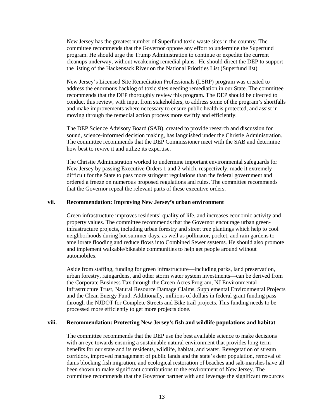New Jersey has the greatest number of Superfund toxic waste sites in the country. The committee recommends that the Governor oppose any effort to undermine the Superfund program. He should urge the Trump Administration to continue or expedite the current cleanups underway, without weakening remedial plans. He should direct the DEP to support the listing of the Hackensack River on the National Priorities List (Superfund list).

New Jersey's Licensed Site Remediation Professionals (LSRP) program was created to address the enormous backlog of toxic sites needing remediation in our State. The committee recommends that the DEP thoroughly review this program. The DEP should be directed to conduct this review, with input from stakeholders, to address some of the program's shortfalls and make improvements where necessary to ensure public health is protected, and assist in moving through the remedial action process more swiftly and efficiently.

The DEP Science Advisory Board (SAB), created to provide research and discussion for sound, science-informed decision making, has languished under the Christie Administration. The committee recommends that the DEP Commissioner meet with the SAB and determine how best to revive it and utilize its expertise.

The Christie Administration worked to undermine important environmental safeguards for New Jersey by passing Executive Orders 1 and 2 which, respectively, made it extremely difficult for the State to pass more stringent regulations than the federal government and ordered a freeze on numerous proposed regulations and rules. The committee recommends that the Governor repeal the relevant parts of these executive orders.

#### **vii. Recommendation: Improving New Jersey's urban environment**

Green infrastructure improves residents' quality of life, and increases economic activity and property values. The committee recommends that the Governor encourage urban greeninfrastructure projects, including urban forestry and street tree plantings which help to cool neighborhoods during hot summer days, as well as pollinator, pocket, and rain gardens to ameliorate flooding and reduce flows into Combined Sewer systems. He should also promote and implement walkable/bikeable communities to help get people around without automobiles.

Aside from staffing, funding for green infrastructure—including parks, land preservation, urban forestry, raingardens, and other storm water system investments—can be derived from the Corporate Business Tax through the Green Acres Program, NJ Environmental Infrastructure Trust, Natural Resource Damage Claims, Supplemental Environmental Projects and the Clean Energy Fund. Additionally, millions of dollars in federal grant funding pass through the NJDOT for Complete Streets and Bike trail projects. This funding needs to be processed more efficiently to get more projects done.

### **viii. Recommendation: Protecting New Jersey's fish and wildlife populations and habitat**

The committee recommends that the DEP use the best available science to make decisions with an eye towards ensuring a sustainable natural environment that provides long-term benefits for our state and its residents, wildlife, habitat, and water. Revegetation of stream corridors, improved management of public lands and the state's deer population, removal of dams blocking fish migration, and ecological restoration of beaches and salt-marshes have all been shown to make significant contributions to the environment of New Jersey. The committee recommends that the Governor partner with and leverage the significant resources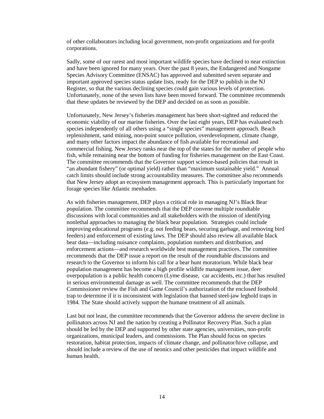of other collaborators including local government, non-profit organizations and for-profit corporations.

Sadly, some of our rarest and most important wildlife species have declined to near extinction and have been ignored for many years. Over the past 8 years, the Endangered and Nongame Species Advisory Committee (ENSAC) has approved and submitted seven separate and important approved species status update lists, ready for the DEP to publish in the NJ Register, so that the various declining species could gain various levels of protection. Unfortunately, none of the seven lists have been moved forward. The committee recommends that these updates be reviewed by the DEP and decided on as soon as possible.

Unfortunately, New Jersey's fisheries management has been short-sighted and reduced the economic viability of our marine fisheries. Over the last eight years, DEP has evaluated each species independently of all others using a "single species" management approach. Beach replenishment, sand mining, non-point source pollution, overdevelopment, climate change, and many other factors impact the abundance of fish available for recreational and commercial fishing. New Jersey ranks near the top of the states for the number of people who fish, while remaining near the bottom of funding for fisheries management on the East Coast. The committee recommends that the Governor support science-based policies that result in "an abundant fishery" (or optimal yield) rather than "maximum sustainable yield." Annual catch limits should include strong accountability measures. The committee also recommends that New Jersey adopt an ecosystem management approach. This is particularly important for forage species like Atlantic menhaden.

As with fisheries management, DEP plays a critical role in managing NJ's Black Bear population. The committee recommends that the DEP convene multiple roundtable discussions with local communities and all stakeholders with the mission of identifying nonlethal approaches to managing the black bear population. Strategies could include improving educational programs (e.g. not feeding bears, securing garbage, and removing bird feeders) and enforcement of existing laws. The DEP should also review all available black bear data—including nuisance complaints, population numbers and distribution, and enforcement actions—and research worldwide best management practices. The committee recommends that the DEP issue a report on the result of the roundtable discussions and research to the Governor to inform his call for a bear hunt moratorium. While black bear population management has become a high profile wildlife management issue, deer overpopulation is a public health concern (Lyme disease, car accidents, etc.) that has resulted in serious environmental damage as well. The committee recommends that the DEP Commissioner review the Fish and Game Council's authorization of the enclosed foothold trap to determine if it is inconsistent with legislation that banned steel-jaw leghold traps in 1984. The State should actively support the humane treatment of all animals.

Last but not least, the committee recommends that the Governor address the severe decline in pollinators across NJ and the nation by creating a Pollinator Recovery Plan. Such a plan should be led by the DEP and supported by other state agencies, universities, non-profit organizations, municipal leaders, and commissions. The Plan should focus on species restoration, habitat protection, impacts of climate change, and pollinator/hive collapse, and should include a review of the use of neonics and other pesticides that impact wildlife and human health.